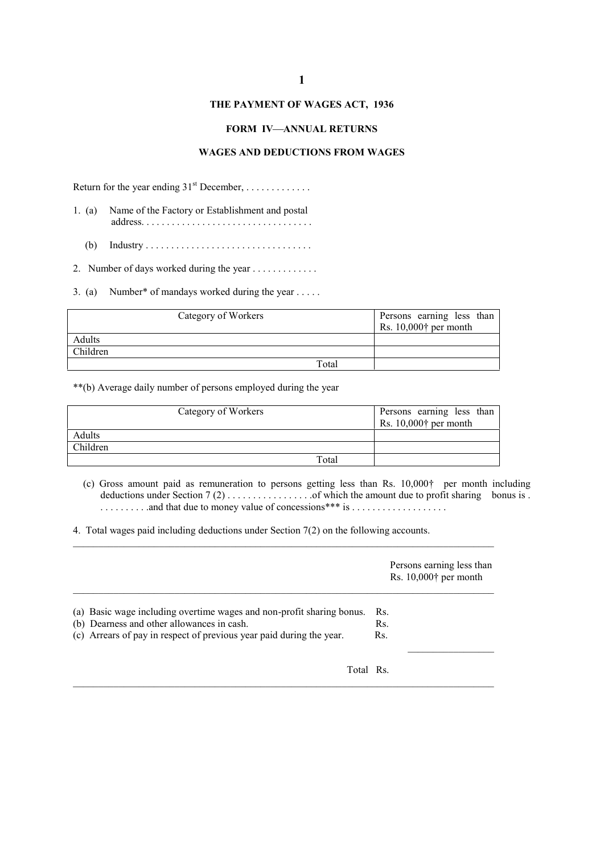# **1**

## **THE PAYMENT OF WAGES ACT, 1936**

### **FORM IV-ANNUAL RETURNS**

### **WAGES AND DEDUCTIONS FROM WAGES**

Return for the year ending  $31<sup>st</sup>$  December, . . . . . . . . . . . . . .

- 1. (a) Name of the Factory or Establishment and postal address. . . . . . . . . . . . . . . . . . . . . . . . . . . . . . . . . .
	- (b) Industry . . . . . . . . . . . . . . . . . . . . . . . . . . . . . . . . .

2. Number of days worked during the year . . . . . . . . . . . . .

3. (a) Number\* of mandays worked during the year . . . . .

| Category of Workers |       | Persons earning less than           |
|---------------------|-------|-------------------------------------|
|                     |       | Rs. $10,000$ <sup>†</sup> per month |
| Adults              |       |                                     |
| Children            |       |                                     |
|                     | Total |                                     |

\*\*(b) Average daily number of persons employed during the year

|          | Category of Workers | Persons earning less than<br>Rs. $10,000$ <sup>†</sup> per month |
|----------|---------------------|------------------------------------------------------------------|
| Adults   |                     |                                                                  |
| Children |                     |                                                                  |
|          | Total               |                                                                  |

(c) Gross amount paid as remuneration to persons getting less than Rs. 10,000† per month including deductions under Section 7 (2) . . . . . . . . . . . . . . . . .of which the amount due to profit sharing bonus is . . . . . . . . . . .and that due to money value of concessions\*\*\* is . . . . . . . . . . . . . . . . . . .

\_\_\_\_\_\_\_\_\_\_\_\_\_\_\_\_\_\_\_\_\_\_\_\_\_\_\_\_\_\_\_\_\_\_\_\_\_\_\_\_\_\_\_\_\_\_\_\_\_\_\_\_\_\_\_\_\_\_\_\_\_\_\_\_\_\_\_\_\_\_\_\_\_\_\_\_\_\_\_\_\_\_\_

4. Total wages paid including deductions under Section 7(2) on the following accounts.

|                                                                                                                                                                                             | Persons earning less than<br>Rs. $10,000$ <sup>†</sup> per month |
|---------------------------------------------------------------------------------------------------------------------------------------------------------------------------------------------|------------------------------------------------------------------|
| (a) Basic wage including overtime wages and non-profit sharing bonus.<br>(b) Dearness and other allowances in cash.<br>(c) Arrears of pay in respect of previous year paid during the year. | Rs.<br>Rs.<br>Rs.                                                |
| Total Rs.                                                                                                                                                                                   |                                                                  |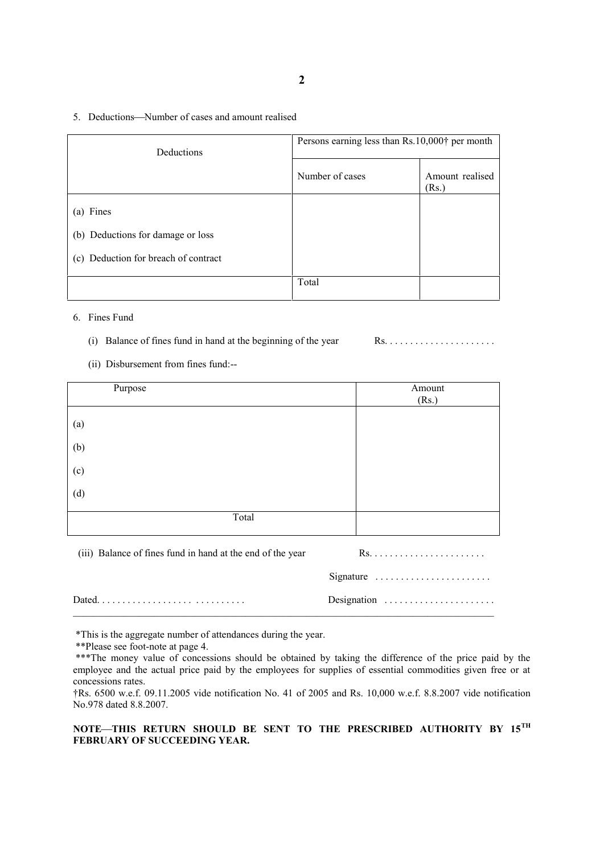#### 5. Deductions—Number of cases and amount realised

| Deductions                           | Persons earning less than Rs.10,000† per month |                          |  |  |
|--------------------------------------|------------------------------------------------|--------------------------|--|--|
|                                      | Number of cases                                | Amount realised<br>(Rs.) |  |  |
| (a) Fines                            |                                                |                          |  |  |
| (b) Deductions for damage or loss    |                                                |                          |  |  |
| (c) Deduction for breach of contract |                                                |                          |  |  |
|                                      | Total                                          |                          |  |  |

## 6. Fines Fund

(i) Balance of fines fund in hand at the beginning of the year

(ii) Disbursement from fines fund:--

| Purpose                                                    | Amount    |
|------------------------------------------------------------|-----------|
|                                                            | (Rs.)     |
| (a)                                                        |           |
| (b)                                                        |           |
| (c)                                                        |           |
| (d)                                                        |           |
| Total                                                      |           |
| (iii) Balance of fines fund in hand at the end of the year |           |
|                                                            | Signature |

Dated. . . . . . . . . . . . . . . . . . . . . . . . . . . . . Designation . . . . . . . . . . . . . . . . . . . . . .

\*This is the aggregate number of attendances during the year.

\*\*Please see foot-note at page 4.

\*\*\*The money value of concessions should be obtained by taking the difference of the price paid by the employee and the actual price paid by the employees for supplies of essential commodities given free or at concessions rates.

 $\mathcal{L}_\mathcal{L} = \{ \mathcal{L}_\mathcal{L} = \{ \mathcal{L}_\mathcal{L} = \{ \mathcal{L}_\mathcal{L} = \{ \mathcal{L}_\mathcal{L} = \{ \mathcal{L}_\mathcal{L} = \{ \mathcal{L}_\mathcal{L} = \{ \mathcal{L}_\mathcal{L} = \{ \mathcal{L}_\mathcal{L} = \{ \mathcal{L}_\mathcal{L} = \{ \mathcal{L}_\mathcal{L} = \{ \mathcal{L}_\mathcal{L} = \{ \mathcal{L}_\mathcal{L} = \{ \mathcal{L}_\mathcal{L} = \{ \mathcal{L}_\mathcal{$ 

†Rs. 6500 w.e.f. 09.11.2005 vide notification No. 41 of 2005 and Rs. 10,000 w.e.f. 8.8.2007 vide notification No.978 dated 8.8.2007.

# **NOTETHIS RETURN SHOULD BE SENT TO THE PRESCRIBED AUTHORITY BY 15TH FEBRUARY OF SUCCEEDING YEAR.**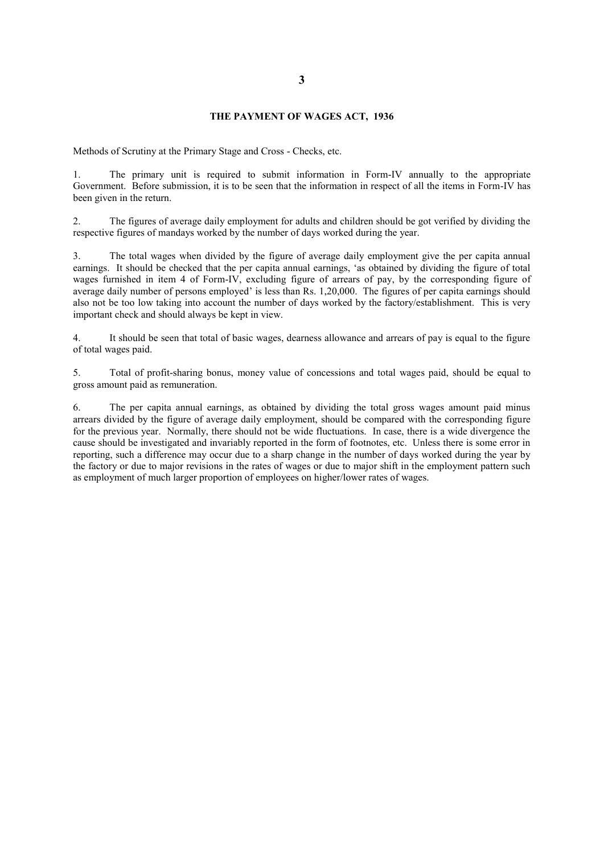### **THE PAYMENT OF WAGES ACT, 1936**

Methods of Scrutiny at the Primary Stage and Cross - Checks, etc.

1. The primary unit is required to submit information in Form-IV annually to the appropriate Government. Before submission, it is to be seen that the information in respect of all the items in Form-IV has been given in the return.

2. The figures of average daily employment for adults and children should be got verified by dividing the respective figures of mandays worked by the number of days worked during the year.

3. The total wages when divided by the figure of average daily employment give the per capita annual earnings. It should be checked that the per capita annual earnings, 'as obtained by dividing the figure of total wages furnished in item 4 of Form-IV, excluding figure of arrears of pay, by the corresponding figure of average daily number of persons employed' is less than Rs. 1,20,000. The figures of per capita earnings should also not be too low taking into account the number of days worked by the factory/establishment. This is very important check and should always be kept in view.

4. It should be seen that total of basic wages, dearness allowance and arrears of pay is equal to the figure of total wages paid.

5. Total of profit-sharing bonus, money value of concessions and total wages paid, should be equal to gross amount paid as remuneration.

6. The per capita annual earnings, as obtained by dividing the total gross wages amount paid minus arrears divided by the figure of average daily employment, should be compared with the corresponding figure for the previous year. Normally, there should not be wide fluctuations. In case, there is a wide divergence the cause should be investigated and invariably reported in the form of footnotes, etc. Unless there is some error in reporting, such a difference may occur due to a sharp change in the number of days worked during the year by the factory or due to major revisions in the rates of wages or due to major shift in the employment pattern such as employment of much larger proportion of employees on higher/lower rates of wages.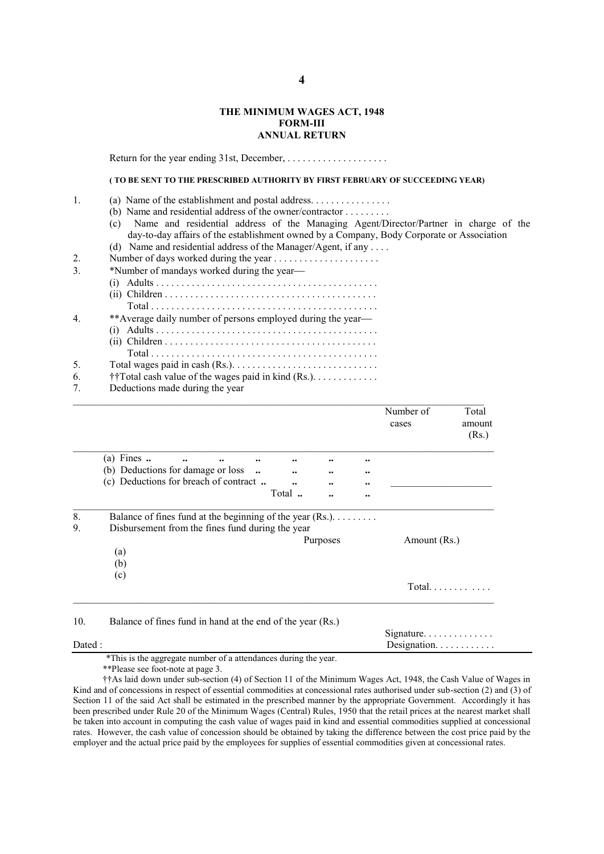### **THE MINIMUM WAGES ACT, 1948 FORM-III ANNUAL RETURN**

Return for the year ending 31st, December, . . . . . . . . . . . . . . . . . . . .

### **( TO BE SENT TO THE PRESCRIBED AUTHORITY BY FIRST FEBRUARY OF SUCCEEDING YEAR)**

|--|--|

(b) Name and residential address of the owner/contractor . . . . . . . . .

(c) Name and residential address of the Managing Agent/Director/Partner in charge of the day-to-day affairs of the establishment owned by a Company, Body Corporate or Association

(d) Name and residential address of the Manager/Agent, if any . . . .

- 2. Number of days worked during the year . . . . . . . . . . . . . . . . . . . . .
- 3. \*Number of mandays worked during the year-<br>(i)  $\Delta$  dults

| $\overline{4}$ | **Average daily number of persons employed during the year— |
|----------------|-------------------------------------------------------------|
|                |                                                             |
|                |                                                             |
|                |                                                             |
| 5.             |                                                             |
|                | $+$ +Total goals value of the wages noid in lind $(D_5)$    |

6. ††Total cash value of the wages paid in kind (Rs.). . . . . . . . . . . . . Deductions made during the year

|         |                                                                                                  |         |           |                  |                      | Number of<br>cases | Total<br>amount<br>(Rs.) |
|---------|--------------------------------------------------------------------------------------------------|---------|-----------|------------------|----------------------|--------------------|--------------------------|
|         | (a) Fines $\ldots$<br>$\ddot{\phantom{0}}\cdot$<br>$\ddot{\phantom{0}}\phantom{0}\bullet\bullet$ |         |           |                  |                      |                    |                          |
|         | (b) Deductions for damage or loss                                                                | $\cdot$ | $\ddotsc$ | $\bullet\bullet$ | $\bullet\bullet$     |                    |                          |
|         | (c) Deductions for breach of contract                                                            |         |           |                  |                      |                    |                          |
|         |                                                                                                  |         | Total     |                  | $\ddot{\phantom{0}}$ |                    |                          |
|         | (a)<br>(b)                                                                                       |         |           | Purposes         |                      | Amount (Rs.)       |                          |
|         | (c)                                                                                              |         |           |                  |                      |                    | Total.                   |
| 10.     | Balance of fines fund in hand at the end of the year (Rs.)                                       |         |           |                  |                      | Signature          |                          |
| Dated : |                                                                                                  |         |           |                  |                      | Designation.       |                          |

\*This is the aggregate number of a attendances during the year.

\*\*Please see foot-note at page 3.

††As laid down under sub-section (4) of Section 11 of the Minimum Wages Act, 1948, the Cash Value of Wages in Kind and of concessions in respect of essential commodities at concessional rates authorised under sub-section (2) and (3) of Section 11 of the said Act shall be estimated in the prescribed manner by the appropriate Government. Accordingly it has been prescribed under Rule 20 of the Minimum Wages (Central) Rules, 1950 that the retail prices at the nearest market shall be taken into account in computing the cash value of wages paid in kind and essential commodities supplied at concessional rates. However, the cash value of concession should be obtained by taking the difference between the cost price paid by the employer and the actual price paid by the employees for supplies of essential commodities given at concessional rates.